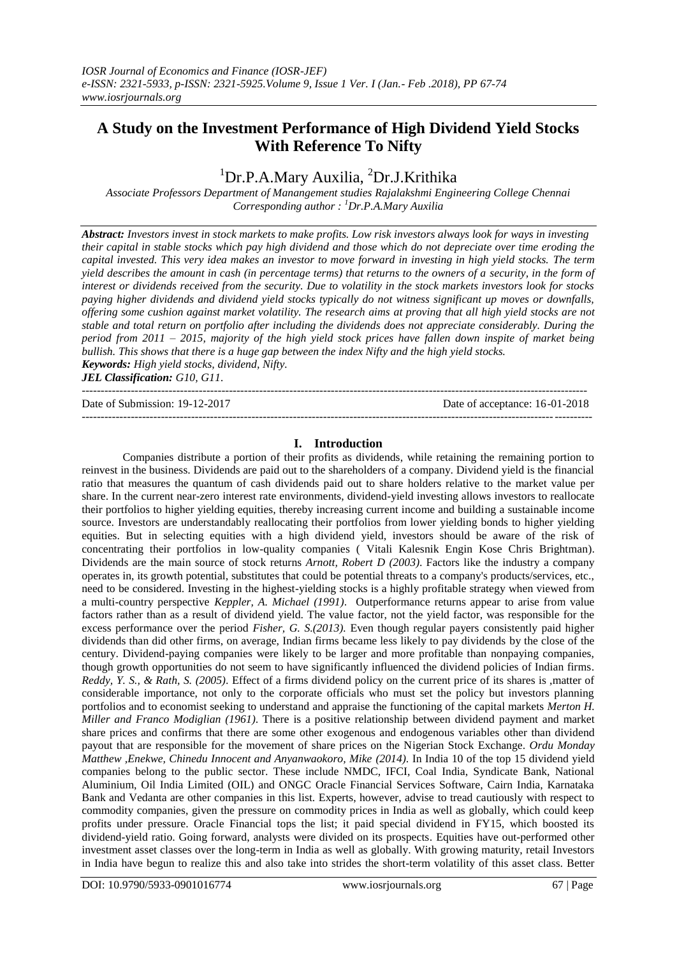# **A Study on the Investment Performance of High Dividend Yield Stocks With Reference To Nifty**

## <sup>1</sup>Dr.P.A.Mary Auxilia, <sup>2</sup>Dr.J.Krithika

*Associate Professors Department of Manangement studies Rajalakshmi Engineering College Chennai Corresponding author : <sup>1</sup>Dr.P.A.Mary Auxilia*

*Abstract: Investors invest in stock markets to make profits. Low risk investors always look for ways in investing their capital in stable stocks which pay high dividend and those which do not depreciate over time eroding the capital invested. This very idea makes an investor to move forward in investing in high yield stocks. The term yield describes the amount in cash (in percentage terms) that returns to the owners of a security, in the form of interest or dividends received from the security. Due to volatility in the stock markets investors look for stocks paying higher dividends and dividend yield stocks typically do not witness significant up moves or downfalls, offering some cushion against market volatility. The research aims at proving that all high yield stocks are not stable and total return on portfolio after including the dividends does not appreciate considerably. During the period from 2011 – 2015, majority of the high yield stock prices have fallen down inspite of market being bullish. This shows that there is a huge gap between the index Nifty and the high yield stocks. Keywords: High yield stocks, dividend, Nifty.*

*JEL Classification: G10, G11.*

 $-1\leq i\leq n-1$ 

Date of Submission: 19-12-2017 Date of acceptance: 16-01-2018

### **I. Introduction**

--------------------------------------------------------------------------------------------------------------------------------------

Companies distribute a portion of their profits as dividends, while retaining the remaining portion to reinvest in the business. Dividends are paid out to the shareholders of a company. Dividend yield is the financial ratio that measures the quantum of cash dividends paid out to share holders relative to the market value per share. In the current near-zero interest rate environments, dividend-yield investing allows investors to reallocate their portfolios to higher yielding equities, thereby increasing current income and building a sustainable income source. Investors are understandably reallocating their portfolios from lower yielding bonds to higher yielding equities. But in selecting equities with a high dividend yield, investors should be aware of the risk of concentrating their portfolios in low-quality companies ( Vitali Kalesnik Engin Kose Chris Brightman). Dividends are the main source of stock returns *Arnott, Robert D (2003)*. Factors like the industry a company operates in, its growth potential, substitutes that could be potential threats to a company's products/services, etc., need to be considered. Investing in the highest-yielding stocks is a highly profitable strategy when viewed from a multi-country perspective *Keppler, A. Michael (1991)*. Outperformance returns appear to arise from value factors rather than as a result of dividend yield. The value factor, not the yield factor, was responsible for the excess performance over the period *Fisher, G. S.(2013).* Even though regular payers consistently paid higher dividends than did other firms, on average, Indian firms became less likely to pay dividends by the close of the century. Dividend-paying companies were likely to be larger and more profitable than nonpaying companies, though growth opportunities do not seem to have significantly influenced the dividend policies of Indian firms*. Reddy, Y. S., & Rath, S. (2005)*. Effect of a firms dividend policy on the current price of its shares is ,matter of considerable importance, not only to the corporate officials who must set the policy but investors planning portfolios and to economist seeking to understand and appraise the functioning of the capital markets *Merton H. Miller and Franco Modiglian (1961)*. There is a positive relationship between dividend payment and market share prices and confirms that there are some other exogenous and endogenous variables other than dividend payout that are responsible for the movement of share prices on the Nigerian Stock Exchange. *Ordu Monday Matthew ,Enekwe, Chinedu Innocent and Anyanwaokoro, Mike (2014)*. In India 10 of the top 15 dividend yield companies belong to the public sector. These include NMDC, IFCI, Coal India, Syndicate Bank, National Aluminium, Oil India Limited (OIL) and ONGC Oracle Financial Services Software, Cairn India, Karnataka Bank and Vedanta are other companies in this list. Experts, however, advise to tread cautiously with respect to commodity companies, given the pressure on commodity prices in India as well as globally, which could keep profits under pressure. Oracle Financial tops the list; it paid special dividend in FY15, which boosted its dividend-yield ratio. Going forward, analysts were divided on its prospects. Equities have out-performed other investment asset classes over the long-term in India as well as globally. With growing maturity, retail Investors in India have begun to realize this and also take into strides the short-term volatility of this asset class. Better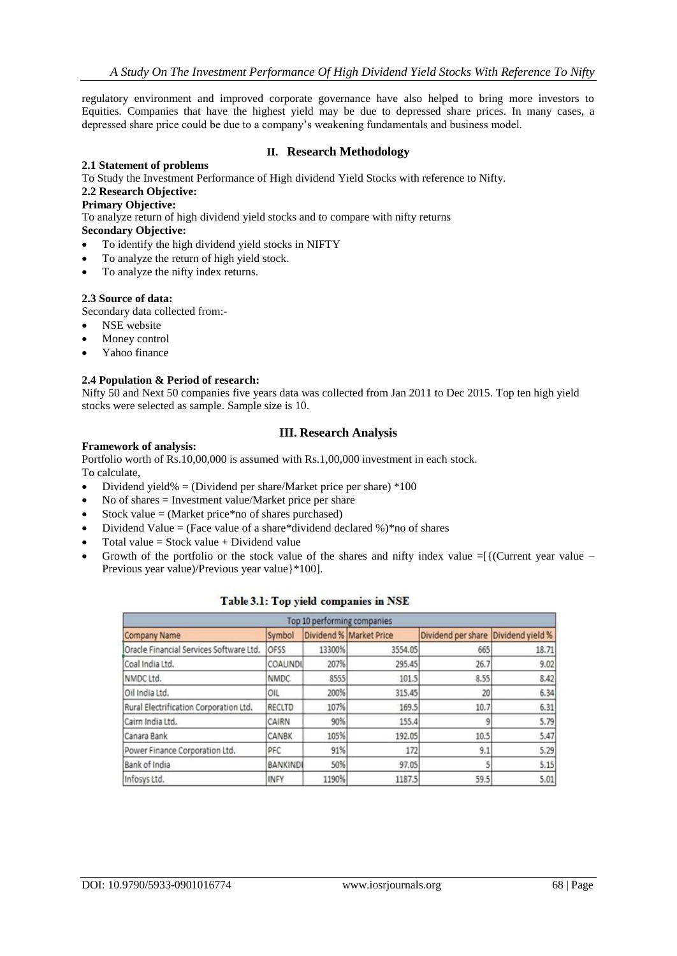regulatory environment and improved corporate governance have also helped to bring more investors to Equities. Companies that have the highest yield may be due to depressed share prices. In many cases, a depressed share price could be due to a company's weakening fundamentals and business model.

#### **II. Research Methodology**

#### **2.1 Statement of problems**

To Study the Investment Performance of High dividend Yield Stocks with reference to Nifty.

## **2.2 Research Objective:**

## **Primary Objective:**

To analyze return of high dividend yield stocks and to compare with nifty returns

## **Secondary Objective:**

- To identify the high dividend yield stocks in NIFTY
- To analyze the return of high yield stock.
- To analyze the nifty index returns.

#### **2.3 Source of data:**

Secondary data collected from:-

- NSE website
- Money control
- Yahoo finance

#### **2.4 Population & Period of research:**

Nifty 50 and Next 50 companies five years data was collected from Jan 2011 to Dec 2015. Top ten high yield stocks were selected as sample. Sample size is 10.

#### **III. Research Analysis**

#### **Framework of analysis:**

Portfolio worth of Rs.10,00,000 is assumed with Rs.1,00,000 investment in each stock. To calculate,

- Dividend yield% = (Dividend per share/Market price per share)  $*100$
- No of shares = Investment value/Market price per share
- Stock value = (Market price\*no of shares purchased)
- Dividend Value = (Face value of a share\*dividend declared %)\*no of shares
- Total value = Stock value + Dividend value
- Growth of the portfolio or the stock value of the shares and nifty index value  $=\frac{1}{1}$  (Current year value Previous year value)/Previous year value}\*100].

| Top 10 performing companies             |                 |        |                         |                    |                  |  |
|-----------------------------------------|-----------------|--------|-------------------------|--------------------|------------------|--|
| <b>Company Name</b>                     | Symbol          |        | Dividend % Market Price | Dividend per share | Dividend yield % |  |
| Oracle Financial Services Software Ltd. | OFSS            | 13300% | 3554.05                 | 665                | 18.71            |  |
| Coal India Ltd.                         | <b>COALINDI</b> | 207%   | 295.45                  | 26.7               | 9.02             |  |
| NMDC Ltd.                               | <b>NMDC</b>     | 8555   | 101.5                   | 8.55               | 8.42             |  |
| Oil India Ltd.                          | OIL             | 200%   | 315.45                  | 20                 | 6.34             |  |
| Rural Electrification Corporation Ltd.  | RECLTD          | 107%   | 169.5                   | 10.7               | 6.31             |  |
| Cairn India Ltd.                        | CAIRN           | 90%    | 155.4                   |                    | 5.79             |  |
| Canara Bank                             | CANBK           | 105%   | 192.05                  | 10.5               | 5.47             |  |
| Power Finance Corporation Ltd.          | PFC             | 91%    | 172                     | 9.1                | 5.29             |  |
| Bank of India                           | <b>BANKINDI</b> | 50%    | 97.05                   |                    | 5.15             |  |
| Infosys Ltd.                            | <b>INFY</b>     | 1190%  | 1187.5                  | 59.5               | 5.01             |  |

#### Table 3.1: Top yield companies in NSE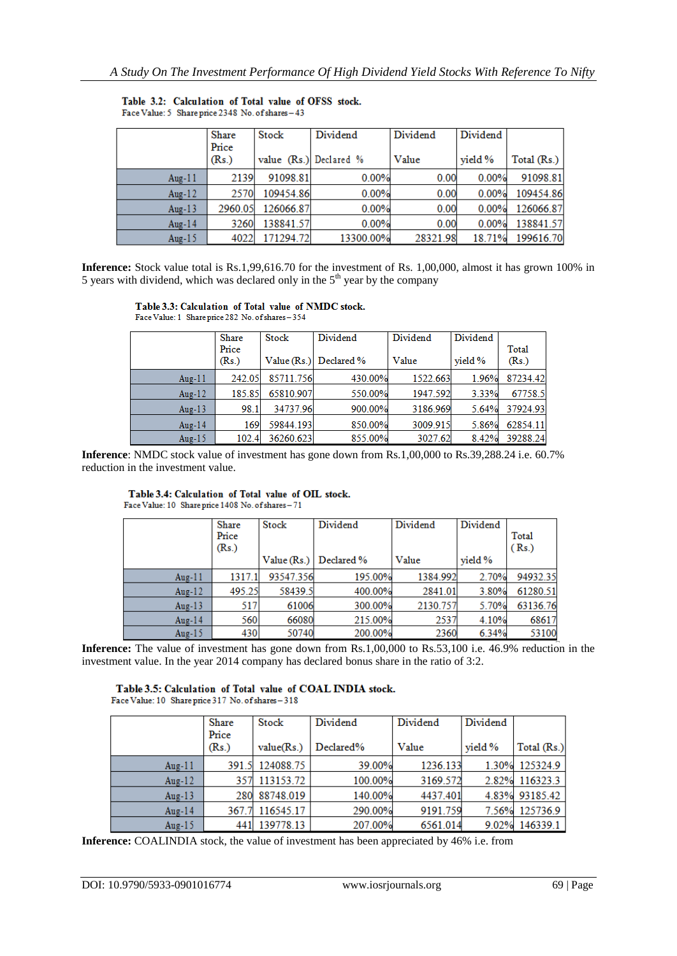|           | <b>Share</b> | Stock                  | Dividend  | Dividend | Dividend |             |
|-----------|--------------|------------------------|-----------|----------|----------|-------------|
|           | Price        |                        |           |          |          |             |
|           | (Rs.)        | value (Rs.) Declared % |           | Value    | vield %  | Total (Rs.) |
| Aug- $11$ | 2139         | 91098.81               | 0.00%     | 0.00     | 0.00%    | 91098.81    |
| Aug- $12$ | 2570         | 109454.86              | 0.00%     | 0.00     | 0.00%    | 109454.86   |
| Aug- $13$ | 2960.05      | 126066.87              | 0.00%     | 0.00     | 0.00%    | 126066.87   |
| Aug-14    | 3260         | 138841.57              | 0.00%     | 0.00     | 0.00%    | 138841.57   |
| Aug- $15$ | 4022         | 171294.72              | 13300.00% | 28321.98 | 18.71%   | 199616.70   |

Table 3.2: Calculation of Total value of OFSS stock. Face Value: 5 Share price 2348 No. of shares - 43

**Inference:** Stock value total is Rs.1,99,616.70 for the investment of Rs. 1,00,000, almost it has grown 100% in 5 years with dividend, which was declared only in the  $5<sup>th</sup>$  year by the company

#### Table 3.3: Calculation of Total value of NMDC stock.

Face Value: 1 Share price 282 No. of shares -354

|           | <b>Share</b> | Stock     | Dividend                 | Dividend | Dividend |          |
|-----------|--------------|-----------|--------------------------|----------|----------|----------|
|           | Price        |           |                          |          |          | Total    |
|           | (Rs.)        |           | Value $(Rs.)$ Declared % | Value    | vield %  | (Rs.)    |
| Aug- $11$ | 242.05       | 85711.756 | 430.00%                  | 1522.663 | 1.96%    | 87234.42 |
| Aug- $12$ | 185.85       | 65810.907 | 550.00%                  | 1947.592 | 3.33%    | 67758.5  |
| Aug- $13$ | 98.1         | 34737.96  | 900.00%                  | 3186.969 | 5.64%    | 37924.93 |
| Aug-14    | 169          | 59844.193 | 850.00%                  | 3009.915 | 5.86%    | 62854.11 |
| Aug- $15$ | 102.4        | 36260.623 | 855.00%                  | 3027.62  | 8.42%    | 39288.24 |

**Inference**: NMDC stock value of investment has gone down from Rs.1,00,000 to Rs.39,288.24 i.e. 60.7% reduction in the investment value.

#### Table 3.4: Calculation of Total value of OIL stock.

Face Value: 10 Share price 1408 No. of shares-71

|           | Share<br>Price<br>(Rs.) | Stock     | Dividend                 | Dividend | Dividend | Total<br>(Rs.) |
|-----------|-------------------------|-----------|--------------------------|----------|----------|----------------|
|           |                         |           | Value $(Rs.)$ Declared % | Value    | vield %  |                |
| Aug- $11$ | 1317.1                  | 93547.356 | 195.00%                  | 1384.992 | 2.70%    | 94932.35       |
| Aug- $12$ | 495.25                  | 58439.5   | 400.00%                  | 2841.01  | 3.80%    | 61280.51       |
| Aug- $13$ | 517                     | 61006     | 300.00%                  | 2130.757 | 5.70%    | 63136.76       |
| Aug-14    | 560                     | 66080     | 215.00%                  | 2537     | 4.10%    | 68617          |
| Aug- $15$ | 430                     | 50740     | 200.00%                  | 2360     | 6.34%    | 53100          |

Inference: The value of investment has gone down from Rs.1,00,000 to Rs.53,100 i.e. 46.9% reduction in the investment value. In the year 2014 company has declared bonus share in the ratio of 3:2.

## Table 3.5: Calculation of Total value of COAL INDIA stock.

Face Value: 10 Share price 317 No. of shares - 318

|           | Share<br>Price | Stock         | Dividend  | Dividend | Dividend |                |
|-----------|----------------|---------------|-----------|----------|----------|----------------|
|           | (Rs.)          | value(Rs.)    | Declared% | Value    | vield %  | Total $(Rs.)$  |
| Aug- $11$ | 391.5          | 124088.75     | 39.00%    | 1236.133 | 1.30%    | 125324.9       |
| Aug- $12$ | 357            | 113153.72     | 100.00%   | 3169.572 | 2.82%    | 116323.3       |
| Aug- $13$ |                | 280 88748.019 | 140.00%   | 4437.401 |          | 4.83% 93185.42 |
| Aug-14    | 367.7          | 116545.17     | 290.00%   | 9191.759 | 7.56%    | 125736.9       |
| Aug-15    |                | 441 139778.13 | 207.00%   | 6561.014 |          | 9.02% 146339.1 |

**Inference:** COALINDIA stock, the value of investment has been appreciated by 46% i.e. from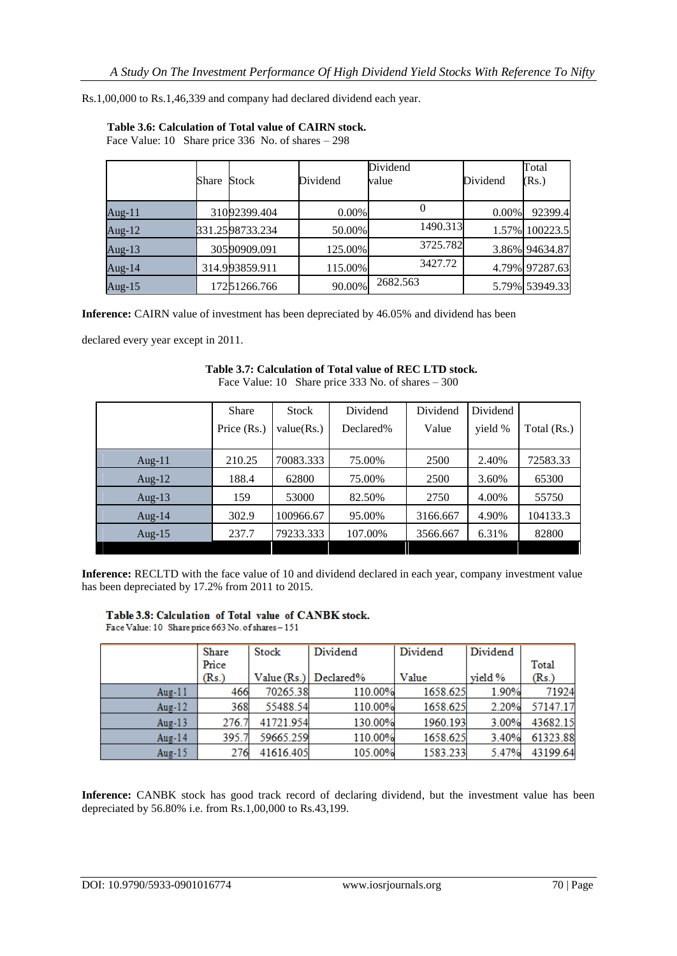Rs.1,00,000 to Rs.1,46,339 and company had declared dividend each year.

|           | Share | Stock           | Dividend | Dividend<br>value | Dividend | Total<br>(Rs.) |
|-----------|-------|-----------------|----------|-------------------|----------|----------------|
| Aug-11    |       | 31092399.404    | 0.00%    | 0                 | 0.00%    | 92399.4        |
| Aug- $12$ |       | 331.2598733.234 | 50.00%   | 1490.313          | 1.57%    | 100223.5       |
| Aug-13    |       | 30590909.091    | 125.00%  | 3725.782          |          | 3.86% 94634.87 |
| Aug-14    |       | 314.993859.911  | 115.00%  | 3427.72           |          | 4.79% 97287.63 |
| Aug-15    |       | 17251266.766    | 90.00%   | 2682.563          |          | 5.79% 53949.33 |

## **Table 3.6: Calculation of Total value of CAIRN stock.**

Face Value: 10 Share price 336 No. of shares – 298

**Inference:** CAIRN value of investment has been depreciated by 46.05% and dividend has been

declared every year except in 2011.

| $\Gamma$ race $\gamma$ and $\epsilon$ . To $\gamma$ share price 333 No. or shares $\sim$ 300 |              |            |           |          |          |             |  |
|----------------------------------------------------------------------------------------------|--------------|------------|-----------|----------|----------|-------------|--|
|                                                                                              | <b>Share</b> | Stock      | Dividend  | Dividend | Dividend |             |  |
|                                                                                              | Price (Rs.)  | value(Rs.) | Declared% | Value    | yield %  | Total (Rs.) |  |
|                                                                                              |              |            |           |          |          |             |  |
| Aug- $11$                                                                                    | 210.25       | 70083.333  | 75.00%    | 2500     | 2.40%    | 72583.33    |  |
| Aug- $12$                                                                                    | 188.4        | 62800      | 75.00%    | 2500     | 3.60%    | 65300       |  |
| Aug- $13$                                                                                    | 159          | 53000      | 82.50%    | 2750     | 4.00%    | 55750       |  |
| Aug- $14$                                                                                    | 302.9        | 100966.67  | 95.00%    | 3166.667 | 4.90%    | 104133.3    |  |
| Aug- $15$                                                                                    | 237.7        | 79233.333  | 107.00%   | 3566.667 | 6.31%    | 82800       |  |

#### **Table 3.7: Calculation of Total value of REC LTD stock.** Face Value: 10 Share price 333 No. of shares – 300

**Inference:** RECLTD with the face value of 10 and dividend declared in each year, company investment value has been depreciated by 17.2% from 2011 to 2015.

#### Table 3.8: Calculation of Total value of CANBK stock.

Face Value: 10 Share price 663 No. of shares - 151

|           | <b>Share</b> | Stock       | Dividend  | Dividend | Dividend  |          |
|-----------|--------------|-------------|-----------|----------|-----------|----------|
|           | Price        |             |           |          |           | Total    |
|           | (Rs.)        | Value (Rs.) | Declared% | Value    | vield $%$ | (Rs.)    |
| Aug- $11$ | 466          | 70265.38    | 110.00%   | 1658.625 | 1.90%     | 71924    |
| Aug- $12$ | 368          | 55488.54    | 110.00%   | 1658.625 | 2.20%     | 57147.17 |
| Aug-13    | 276.7        | 41721.954   | 130.00%   | 1960.193 | 3.00%     | 43682.15 |
| Aug-14    | 395.7        | 59665.259   | 110.00%   | 1658.625 | 3.40%     | 61323.88 |
| Aug- $15$ | 276          | 41616.405   | 105.00%   | 1583.233 | 5.47%     | 43199.64 |

**Inference:** CANBK stock has good track record of declaring dividend, but the investment value has been depreciated by 56.80% i.e. from Rs.1,00,000 to Rs.43,199.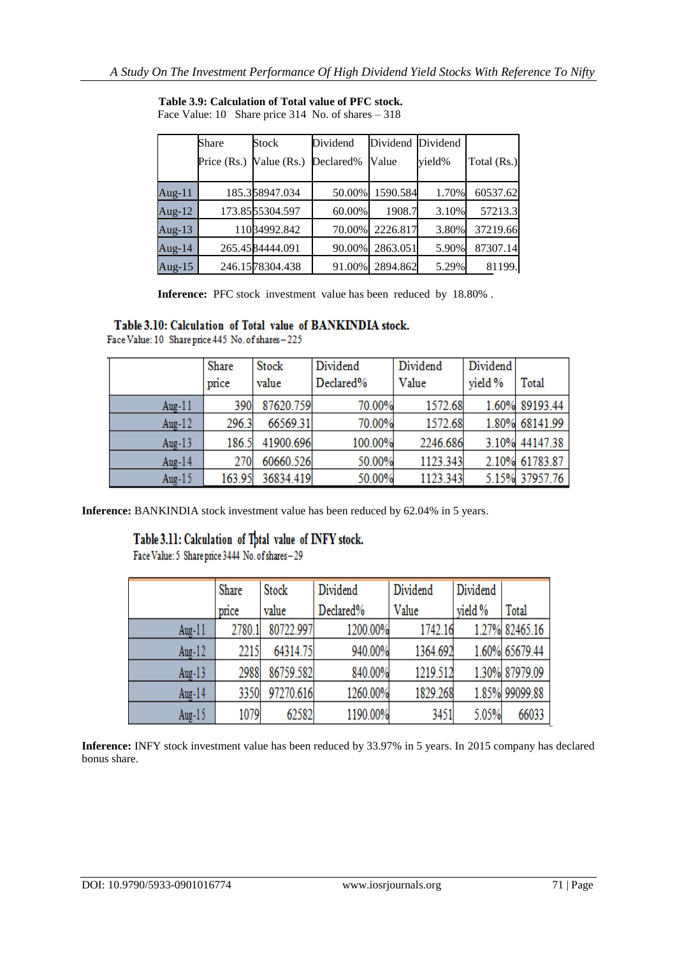|           | Share       | Stock           | Dividend  | Dividend Dividend |        |             |
|-----------|-------------|-----------------|-----------|-------------------|--------|-------------|
|           | Price (Rs.) | Value $(Rs.)$   | Declared% | Value             | yield% | Total (Rs.) |
| Aug- $11$ |             | 185.358947.034  | 50.00%    | 1590.584          | 1.70%  | 60537.62    |
| Aug- $12$ |             | 173.8555304.597 | 60.00%    | 1908.7            | 3.10%  | 57213.3     |
| Aug-13    |             | 11034992.842    | 70.00%    | 2226.817          | 3.80%  | 37219.66    |
| Aug- $14$ |             | 265.4584444.091 | 90.00%    | 2863.051          | 5.90%  | 87307.14    |
| Aug-15    |             | 246.1578304.438 | 91.00%    | 2894.862          | 5.29%  | 81199.      |

**Table 3.9: Calculation of Total value of PFC stock.** Face Value: 10 Share price 314 No. of shares – 318

**Inference:** PFC stock investment value has been reduced by 18.80% .

## Table 3.10: Calculation of Total value of BANKINDIA stock.

Face Value: 10 Share price 445 No. of shares - 225

|           | Share  | Stock     | Dividend  | Dividend | Dividend |                |
|-----------|--------|-----------|-----------|----------|----------|----------------|
|           | price  | value     | Declared% | Value    | yield %  | <b>Total</b>   |
| Aug- $11$ | 390    | 87620.759 | 70.00%    | 1572.68  |          | 1.60% 89193.44 |
| Aug- $12$ | 296.3  | 66569.31  | 70.00%    | 1572.68  |          | 1.80% 68141.99 |
| Aug- $13$ | 186.5  | 41900.696 | 100.00%   | 2246.686 |          | 3.10% 44147.38 |
| Aug-14    | 270    | 60660.526 | 50.00%    | 1123.343 | 2.10%    | 61783.87       |
| Aug- $15$ | 163.95 | 36834.419 | 50.00%    | 1123.343 |          | 5.15% 37957.76 |

**Inference:** BANKINDIA stock investment value has been reduced by 62.04% in 5 years.

# Table 3.11: Calculation of Tptal value of INFY stock.<br>Face Value: 5 Shareprice 3444 No. of shares - 29

|           | Share  | Stock     | Dividend  | Dividend | Dividend |                |
|-----------|--------|-----------|-----------|----------|----------|----------------|
|           | price  | value     | Declared% | Value    | vield %  | Total          |
| Aug- $11$ | 2780.1 | 80722.997 | 1200.00%  | 1742.16  |          | 1.27% 82465.16 |
| Aug- $12$ | 2215   | 64314.75  | 940.00%   | 1364.692 |          | 1.60% 65679.44 |
| Aug- $13$ | 2988   | 86759.582 | 840.00%   | 1219.512 |          | 1.30% 87979.09 |
| Aug- $14$ | 3350   | 97270.616 | 1260.00%  | 1829.268 |          | 1.85% 99099.88 |
| Aug- $15$ | 1079   | 62582     | 1190.00%  | 3451     | 5.05%    | 66033          |

**Inference:** INFY stock investment value has been reduced by 33.97% in 5 years. In 2015 company has declared bonus share.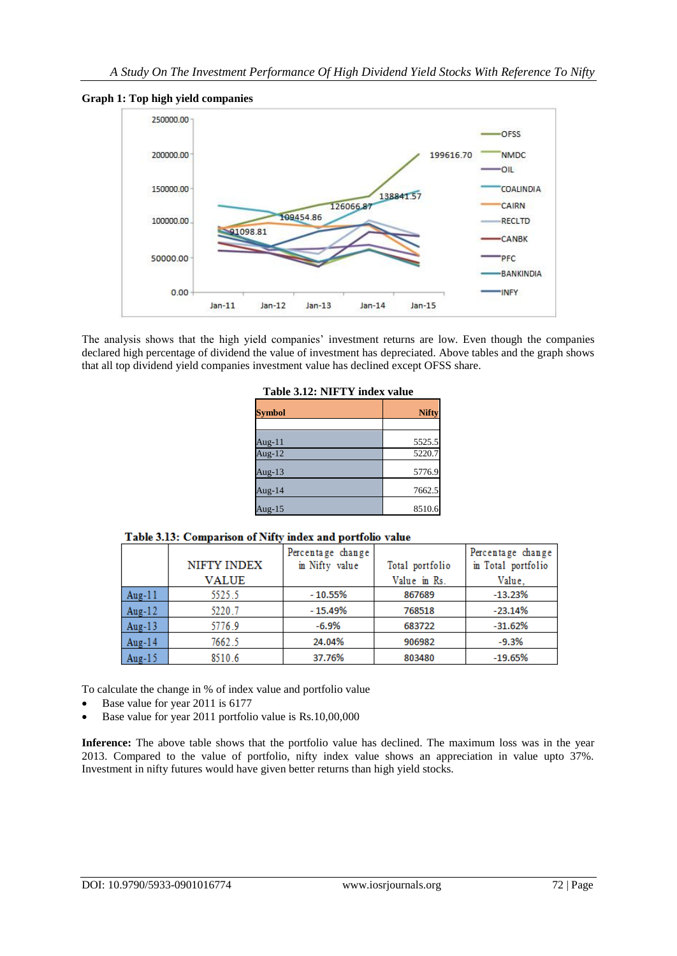**Graph 1: Top high yield companies**



The analysis shows that the high yield companies' investment returns are low. Even though the companies declared high percentage of dividend the value of investment has depreciated. Above tables and the graph shows that all top dividend yield companies investment value has declined except OFSS share.

| <b>Symbol</b> | <b>Nifty</b> |
|---------------|--------------|
| Aug-11        | 5525.5       |
| Aug- $12$     | 5220.7       |
| Aug- $13$     | 5776.9       |
| Aug-14        | 7662.5       |
| Aug- $15$     | 8510.6       |

**Table 3.12: NIFTY index value**

|        | NIFTY INDEX  | Percentage change<br>in Nifty value | Total portfolio | Percentage change<br>in Total portfolio |
|--------|--------------|-------------------------------------|-----------------|-----------------------------------------|
|        | <b>VALUE</b> |                                     | Value in Rs.    | Value.                                  |
| Aug-11 | 5525.5       | $-10.55%$                           | 867689          | $-13.23%$                               |
| Aug-12 | 5220.7       | $-15.49%$                           | 768518          | $-23.14%$                               |
| Aug-13 | 5776.9       | $-6.9%$                             | 683722          | $-31.62%$                               |
| Aug-14 | 7662.5       | 24.04%                              | 906982          | $-9.3%$                                 |
| Aug-15 | 8510.6       | 37.76%                              | 803480          | $-19.65%$                               |

To calculate the change in % of index value and portfolio value

- Base value for year 2011 is 6177
- Base value for year 2011 portfolio value is Rs.10,00,000

Inference: The above table shows that the portfolio value has declined. The maximum loss was in the year 2013. Compared to the value of portfolio, nifty index value shows an appreciation in value upto 37%. Investment in nifty futures would have given better returns than high yield stocks.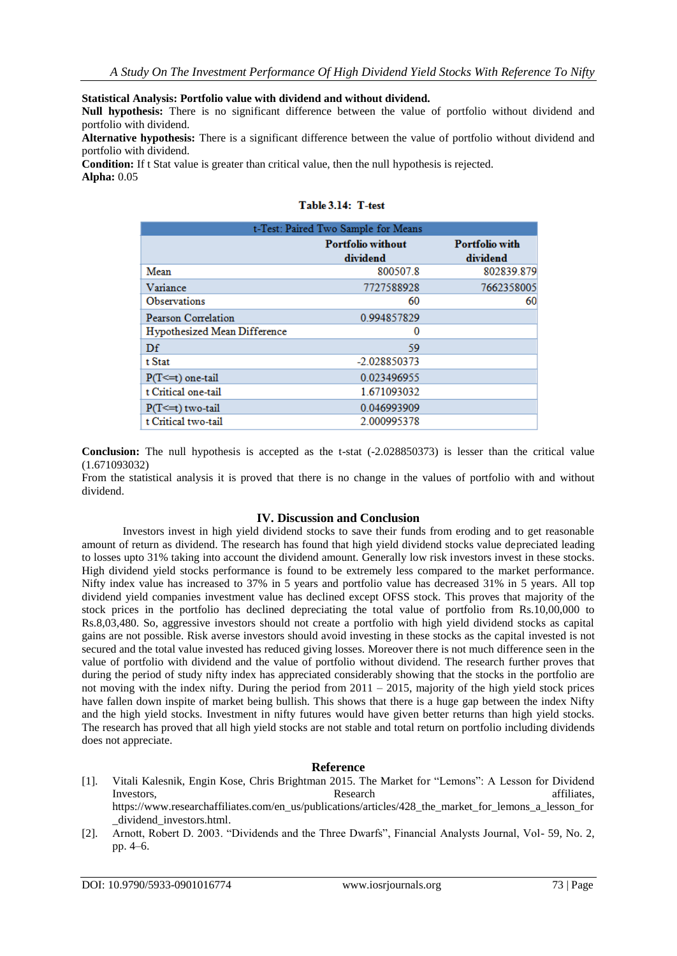**Statistical Analysis: Portfolio value with dividend and without dividend.**

**Null hypothesis:** There is no significant difference between the value of portfolio without dividend and portfolio with dividend.

**Alternative hypothesis:** There is a significant difference between the value of portfolio without dividend and portfolio with dividend.

**Condition:** If t Stat value is greater than critical value, then the null hypothesis is rejected. **Alpha:** 0.05

| t-Test: Paired Two Sample for Means |                                      |                                   |  |  |
|-------------------------------------|--------------------------------------|-----------------------------------|--|--|
|                                     | <b>Portfolio without</b><br>dividend | <b>Portfolio with</b><br>dividend |  |  |
| Mean                                | 800507.8                             | 802839.879                        |  |  |
| Variance                            | 7727588928                           | 7662358005                        |  |  |
| <b>Observations</b>                 | 60                                   | 60                                |  |  |
| Pearson Correlation                 | 0.994857829                          |                                   |  |  |
| Hypothesized Mean Difference        | $\bf{0}$                             |                                   |  |  |
| Df                                  | 59                                   |                                   |  |  |
| t Stat                              | -2.028850373                         |                                   |  |  |
| $P(T \leq t)$ one-tail              | 0.023496955                          |                                   |  |  |
| t Critical one-tail                 | 1.671093032                          |                                   |  |  |
| $P(T \le t)$ two-tail               | 0.046993909                          |                                   |  |  |
| t Critical two-tail                 | 2.000995378                          |                                   |  |  |

## Table 3.14: T-test

**Conclusion:** The null hypothesis is accepted as the t-stat (-2.028850373) is lesser than the critical value (1.671093032)

From the statistical analysis it is proved that there is no change in the values of portfolio with and without dividend.

#### **IV. Discussion and Conclusion**

Investors invest in high yield dividend stocks to save their funds from eroding and to get reasonable amount of return as dividend. The research has found that high yield dividend stocks value depreciated leading to losses upto 31% taking into account the dividend amount. Generally low risk investors invest in these stocks. High dividend yield stocks performance is found to be extremely less compared to the market performance. Nifty index value has increased to 37% in 5 years and portfolio value has decreased 31% in 5 years. All top dividend yield companies investment value has declined except OFSS stock. This proves that majority of the stock prices in the portfolio has declined depreciating the total value of portfolio from Rs.10,00,000 to Rs.8,03,480. So, aggressive investors should not create a portfolio with high yield dividend stocks as capital gains are not possible. Risk averse investors should avoid investing in these stocks as the capital invested is not secured and the total value invested has reduced giving losses. Moreover there is not much difference seen in the value of portfolio with dividend and the value of portfolio without dividend. The research further proves that during the period of study nifty index has appreciated considerably showing that the stocks in the portfolio are not moving with the index nifty. During the period from  $2011 - 2015$ , majority of the high yield stock prices have fallen down inspite of market being bullish. This shows that there is a huge gap between the index Nifty and the high yield stocks. Investment in nifty futures would have given better returns than high yield stocks. The research has proved that all high yield stocks are not stable and total return on portfolio including dividends does not appreciate.

#### **Reference**

- [1]. Vitali Kalesnik, Engin Kose, Chris Brightman 2015. The Market for "Lemons": A Lesson for Dividend Investors, and the contract of the Research affiliates, and the contract of the contract affiliates, and the contract of the contract of the contract of the contract of the contract of the contract of the contract of the c [https://www.researchaffiliates.com/en\\_us/publications/articles/428\\_the\\_market\\_for\\_lemons\\_a\\_lesson\\_for](https://www.researchaffiliates.com/en_us/publications/articles/428_the_market_for_lemons_a_lesson_for_dividend_investors.html) [\\_dividend\\_investors.html.](https://www.researchaffiliates.com/en_us/publications/articles/428_the_market_for_lemons_a_lesson_for_dividend_investors.html)
- [2]. Arnott, Robert D. 2003. "Dividends and the Three Dwarfs", Financial Analysts Journal, Vol- 59, No. 2, pp. 4–6.